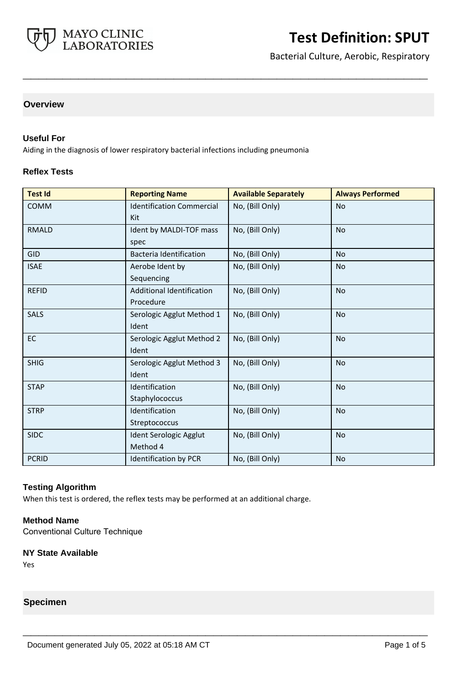

Bacterial Culture, Aerobic, Respiratory

# **Overview**

#### **Useful For**

Aiding in the diagnosis of lower respiratory bacterial infections including pneumonia

#### **Reflex Tests**

| <b>Test Id</b> | <b>Reporting Name</b>            | <b>Available Separately</b> | <b>Always Performed</b> |
|----------------|----------------------------------|-----------------------------|-------------------------|
| <b>COMM</b>    | <b>Identification Commercial</b> | No, (Bill Only)             | <b>No</b>               |
|                | Kit                              |                             |                         |
| <b>RMALD</b>   | Ident by MALDI-TOF mass          | No, (Bill Only)             | <b>No</b>               |
|                | spec                             |                             |                         |
| <b>GID</b>     | <b>Bacteria Identification</b>   | No, (Bill Only)             | <b>No</b>               |
| <b>ISAE</b>    | Aerobe Ident by                  | No, (Bill Only)             | <b>No</b>               |
|                | Sequencing                       |                             |                         |
| <b>REFID</b>   | <b>Additional Identification</b> | No, (Bill Only)             | <b>No</b>               |
|                | Procedure                        |                             |                         |
| <b>SALS</b>    | Serologic Agglut Method 1        | No, (Bill Only)             | <b>No</b>               |
|                | Ident                            |                             |                         |
| <b>EC</b>      | Serologic Agglut Method 2        | No, (Bill Only)             | <b>No</b>               |
|                | Ident                            |                             |                         |
| <b>SHIG</b>    | Serologic Agglut Method 3        | No, (Bill Only)             | <b>No</b>               |
|                | Ident                            |                             |                         |
| <b>STAP</b>    | Identification                   | No, (Bill Only)             | <b>No</b>               |
|                | Staphylococcus                   |                             |                         |
| <b>STRP</b>    | Identification                   | No, (Bill Only)             | <b>No</b>               |
|                | Streptococcus                    |                             |                         |
| <b>SIDC</b>    | <b>Ident Serologic Agglut</b>    | No, (Bill Only)             | <b>No</b>               |
|                | Method 4                         |                             |                         |
| <b>PCRID</b>   | <b>Identification by PCR</b>     | No, (Bill Only)             | <b>No</b>               |

**\_\_\_\_\_\_\_\_\_\_\_\_\_\_\_\_\_\_\_\_\_\_\_\_\_\_\_\_\_\_\_\_\_\_\_\_\_\_\_\_\_\_\_\_\_\_\_\_\_\_\_**

**\_\_\_\_\_\_\_\_\_\_\_\_\_\_\_\_\_\_\_\_\_\_\_\_\_\_\_\_\_\_\_\_\_\_\_\_\_\_\_\_\_\_\_\_\_\_\_\_\_\_\_**

#### **Testing Algorithm**

When this test is ordered, the reflex tests may be performed at an additional charge.

#### **Method Name**

Conventional Culture Technique

#### **NY State Available**

Yes

## **Specimen**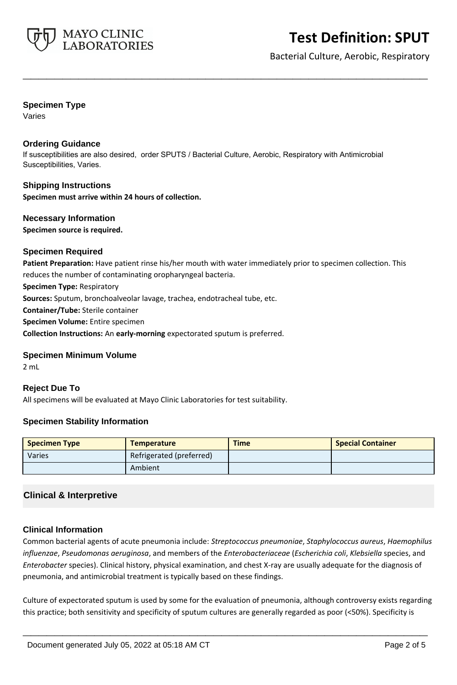

# **Test Definition: SPUT**

Bacterial Culture, Aerobic, Respiratory

## **Specimen Type**

Varies

## **Ordering Guidance**

If susceptibilities are also desired, order SPUTS / Bacterial Culture, Aerobic, Respiratory with Antimicrobial Susceptibilities, Varies.

**\_\_\_\_\_\_\_\_\_\_\_\_\_\_\_\_\_\_\_\_\_\_\_\_\_\_\_\_\_\_\_\_\_\_\_\_\_\_\_\_\_\_\_\_\_\_\_\_\_\_\_**

**Shipping Instructions Specimen must arrive within 24 hours of collection.**

# **Necessary Information**

**Specimen source is required.**

#### **Specimen Required**

**Patient Preparation:** Have patient rinse his/her mouth with water immediately prior to specimen collection. This reduces the number of contaminating oropharyngeal bacteria.

**Specimen Type:** Respiratory

**Sources:** Sputum, bronchoalveolar lavage, trachea, endotracheal tube, etc.

**Container/Tube:** Sterile container

**Specimen Volume:** Entire specimen

**Collection Instructions:** An **early-morning** expectorated sputum is preferred.

#### **Specimen Minimum Volume**

2 mL

#### **Reject Due To**

All specimens will be evaluated at Mayo Clinic Laboratories for test suitability.

#### **Specimen Stability Information**

| <b>Specimen Type</b> | <b>Temperature</b>       | <b>Time</b> | <b>Special Container</b> |
|----------------------|--------------------------|-------------|--------------------------|
| Varies               | Refrigerated (preferred) |             |                          |
|                      | Ambient                  |             |                          |

# **Clinical & Interpretive**

#### **Clinical Information**

Common bacterial agents of acute pneumonia include: *Streptococcus pneumoniae*, *Staphylococcus aureus*, *Haemophilus influenzae*, *Pseudomonas aeruginosa*, and members of the *Enterobacteriaceae* (*Escherichia coli*, *Klebsiella* species, and *Enterobacter* species). Clinical history, physical examination, and chest X-ray are usually adequate for the diagnosis of pneumonia, and antimicrobial treatment is typically based on these findings.

Culture of expectorated sputum is used by some for the evaluation of pneumonia, although controversy exists regarding this practice; both sensitivity and specificity of sputum cultures are generally regarded as poor (<50%). Specificity is

**\_\_\_\_\_\_\_\_\_\_\_\_\_\_\_\_\_\_\_\_\_\_\_\_\_\_\_\_\_\_\_\_\_\_\_\_\_\_\_\_\_\_\_\_\_\_\_\_\_\_\_**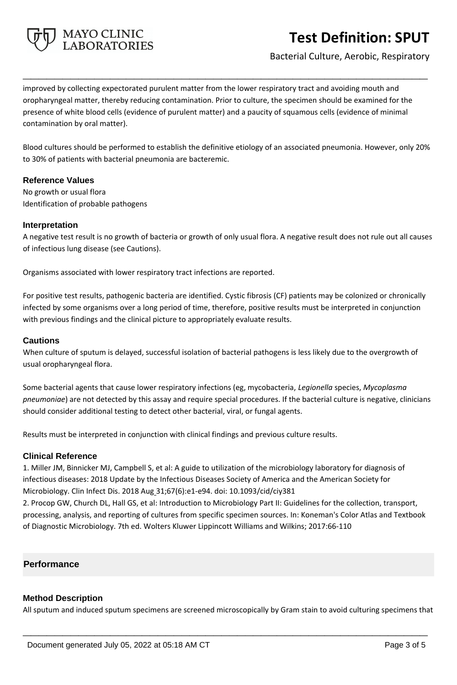

# **Test Definition: SPUT**

Bacterial Culture, Aerobic, Respiratory

improved by collecting expectorated purulent matter from the lower respiratory tract and avoiding mouth and oropharyngeal matter, thereby reducing contamination. Prior to culture, the specimen should be examined for the presence of white blood cells (evidence of purulent matter) and a paucity of squamous cells (evidence of minimal contamination by oral matter).

**\_\_\_\_\_\_\_\_\_\_\_\_\_\_\_\_\_\_\_\_\_\_\_\_\_\_\_\_\_\_\_\_\_\_\_\_\_\_\_\_\_\_\_\_\_\_\_\_\_\_\_**

Blood cultures should be performed to establish the definitive etiology of an associated pneumonia. However, only 20% to 30% of patients with bacterial pneumonia are bacteremic.

## **Reference Values**

No growth or usual flora Identification of probable pathogens

#### **Interpretation**

A negative test result is no growth of bacteria or growth of only usual flora. A negative result does not rule out all causes of infectious lung disease (see Cautions).

Organisms associated with lower respiratory tract infections are reported.

For positive test results, pathogenic bacteria are identified. Cystic fibrosis (CF) patients may be colonized or chronically infected by some organisms over a long period of time, therefore, positive results must be interpreted in conjunction with previous findings and the clinical picture to appropriately evaluate results.

#### **Cautions**

When culture of sputum is delayed, successful isolation of bacterial pathogens is less likely due to the overgrowth of usual oropharyngeal flora.

Some bacterial agents that cause lower respiratory infections (eg, mycobacteria, *Legionella* species, *Mycoplasma pneumoniae*) are not detected by this assay and require special procedures. If the bacterial culture is negative, clinicians should consider additional testing to detect other bacterial, viral, or fungal agents.

Results must be interpreted in conjunction with clinical findings and previous culture results.

#### **Clinical Reference**

1. Miller JM, Binnicker MJ, Campbell S, et al: A guide to utilization of the microbiology laboratory for diagnosis of infectious diseases: 2018 Update by the Infectious Diseases Society of America and the American Society for Microbiology. Clin Infect Dis. 2018 Aug 31;67(6):e1-e94. doi: 10.1093/cid/ciy381

2. Procop GW, Church DL, Hall GS, et al: Introduction to Microbiology Part II: Guidelines for the collection, transport, processing, analysis, and reporting of cultures from specific specimen sources. In: Koneman's Color Atlas and Textbook of Diagnostic Microbiology. 7th ed. Wolters Kluwer Lippincott Williams and Wilkins; 2017:66-110

# **Performance**

#### **Method Description**

All sputum and induced sputum specimens are screened microscopically by Gram stain to avoid culturing specimens that

**\_\_\_\_\_\_\_\_\_\_\_\_\_\_\_\_\_\_\_\_\_\_\_\_\_\_\_\_\_\_\_\_\_\_\_\_\_\_\_\_\_\_\_\_\_\_\_\_\_\_\_**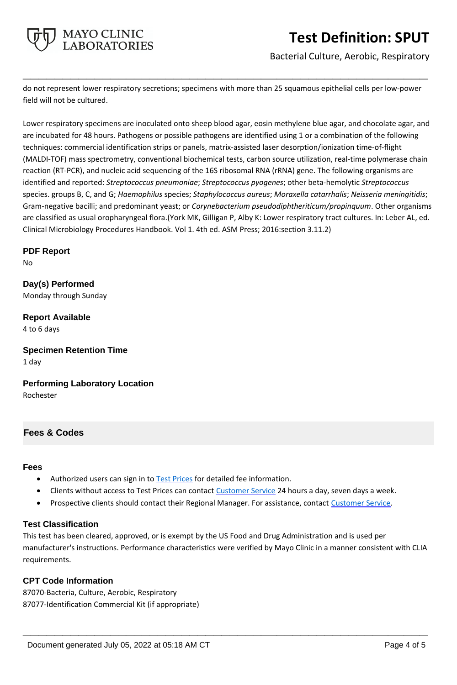

Bacterial Culture, Aerobic, Respiratory

do not represent lower respiratory secretions; specimens with more than 25 squamous epithelial cells per low-power field will not be cultured.

**\_\_\_\_\_\_\_\_\_\_\_\_\_\_\_\_\_\_\_\_\_\_\_\_\_\_\_\_\_\_\_\_\_\_\_\_\_\_\_\_\_\_\_\_\_\_\_\_\_\_\_**

Lower respiratory specimens are inoculated onto sheep blood agar, eosin methylene blue agar, and chocolate agar, and are incubated for 48 hours. Pathogens or possible pathogens are identified using 1 or a combination of the following techniques: commercial identification strips or panels, matrix-assisted laser desorption/ionization time-of-flight (MALDI-TOF) mass spectrometry, conventional biochemical tests, carbon source utilization, real-time polymerase chain reaction (RT-PCR), and nucleic acid sequencing of the 16S ribosomal RNA (rRNA) gene. The following organisms are identified and reported: *Streptococcus pneumoniae*; *Streptococcus pyogenes*; other beta-hemolytic *Streptococcus* species. groups B, C, and G; *Haemophilus* species; *Staphylococcus aureus*; *Moraxella catarrhalis*; *Neisseria meningitidis*; Gram-negative bacilli; and predominant yeast; or *Corynebacterium pseudodiphtheriticum/propinquum*. Other organisms are classified as usual oropharyngeal flora.(York MK, Gilligan P, Alby K: Lower respiratory tract cultures. In: Leber AL, ed. Clinical Microbiology Procedures Handbook. Vol 1. 4th ed. ASM Press; 2016:section 3.11.2)

**PDF Report** No

**Day(s) Performed** Monday through Sunday

**Report Available** 4 to 6 days

**Specimen Retention Time** 1 day

**Performing Laboratory Location** Rochester

# **Fees & Codes**

#### **Fees**

- Authorized users can sign in to [Test Prices](https://www.mayocliniclabs.com/customer-service/client-price-lookup/index.html?unit_code=SPUT) for detailed fee information.
- Clients without access to Test Prices can contact [Customer Service](http://www.mayocliniclabs.com/customer-service/contacts.html) 24 hours a day, seven days a week.
- Prospective clients should contact their Regional Manager. For assistance, contact [Customer Service.](http://www.mayocliniclabs.com/customer-service/contacts.html)

#### **Test Classification**

This test has been cleared, approved, or is exempt by the US Food and Drug Administration and is used per manufacturer's instructions. Performance characteristics were verified by Mayo Clinic in a manner consistent with CLIA requirements.

**\_\_\_\_\_\_\_\_\_\_\_\_\_\_\_\_\_\_\_\_\_\_\_\_\_\_\_\_\_\_\_\_\_\_\_\_\_\_\_\_\_\_\_\_\_\_\_\_\_\_\_**

#### **CPT Code Information**

87070-Bacteria, Culture, Aerobic, Respiratory 87077-Identification Commercial Kit (if appropriate)